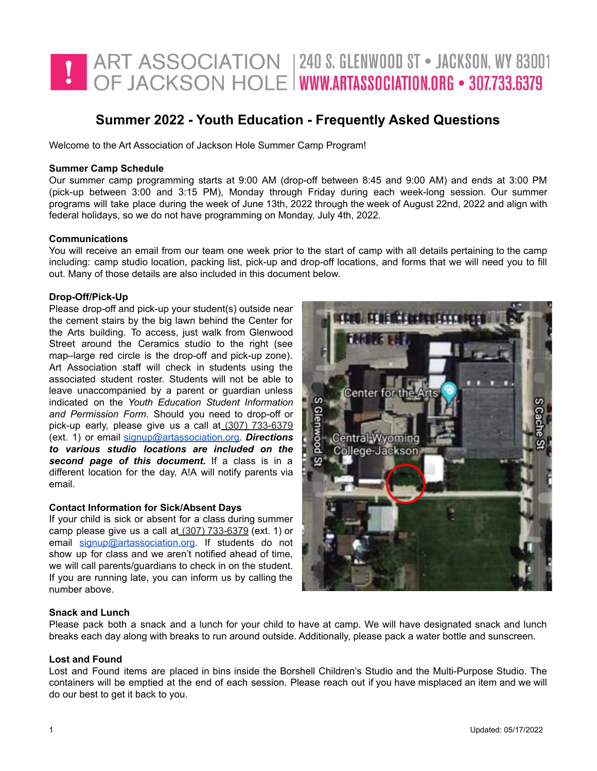

# **Summer 2022 - Youth Education - Frequently Asked Questions**

Welcome to the Art Association of Jackson Hole Summer Camp Program!

### **Summer Camp Schedule**

Our summer camp programming starts at 9:00 AM (drop-off between 8:45 and 9:00 AM) and ends at 3:00 PM (pick-up between 3:00 and 3:15 PM), Monday through Friday during each week-long session. Our summer programs will take place during the week of June 13th, 2022 through the week of August 22nd, 2022 and align with federal holidays, so we do not have programming on Monday, July 4th, 2022.

### **Communications**

You will receive an email from our team one week prior to the start of camp with all details pertaining to the camp including: camp studio location, packing list, pick-up and drop-off locations, and forms that we will need you to fill out. Many of those details are also included in this document below.

# **Drop-Off/Pick-Up**

Please drop-off and pick-up your student(s) outside near the cement stairs by the big lawn behind the Center for the Arts building. To access, just walk from Glenwood Street around the Ceramics studio to the right (see map–large red circle is the drop-off and pick-up zone). Art Association staff will check in students using the associated student roster. Students will not be able to leave unaccompanied by a parent or guardian unless indicated on the *Youth Education Student Information and Permission Form*. Should you need to drop-off or pick-up early, please give us a call at (307) 733-6379 (ext. 1) or email [signup@artassociation.org.](mailto:signup@artassociation.org) *Directions to various studio locations are included on the second page of this document.* If a class is in a different location for the day, A!A will notify parents via email.

#### **Contact Information for Sick/Absent Days**

If your child is sick or absent for a class during summer camp please give us a call at (307) 733-6379 (ext. 1) or email [signup@artassociation.org](mailto:signup@artassociation.org). If students do not show up for class and we aren't notified ahead of time, we will call parents/guardians to check in on the student. If you are running late, you can inform us by calling the number above.



#### **Snack and Lunch**

Please pack both a snack and a lunch for your child to have at camp. We will have designated snack and lunch breaks each day along with breaks to run around outside. Additionally, please pack a water bottle and sunscreen.

### **Lost and Found**

Lost and Found items are placed in bins inside the Borshell Children's Studio and the Multi-Purpose Studio. The containers will be emptied at the end of each session. Please reach out if you have misplaced an item and we will do our best to get it back to you.